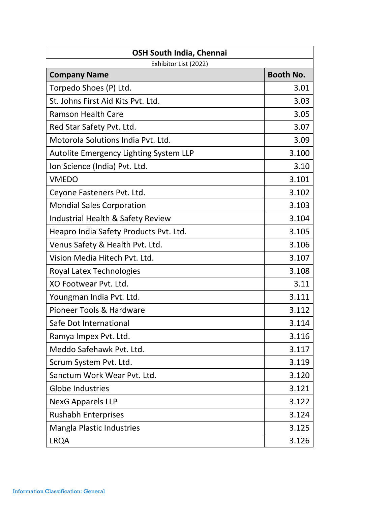| <b>OSH South India, Chennai</b>        |                  |  |
|----------------------------------------|------------------|--|
| Exhibitor List (2022)                  |                  |  |
| <b>Company Name</b>                    | <b>Booth No.</b> |  |
| Torpedo Shoes (P) Ltd.                 | 3.01             |  |
| St. Johns First Aid Kits Pvt. Ltd.     | 3.03             |  |
| <b>Ramson Health Care</b>              | 3.05             |  |
| Red Star Safety Pvt. Ltd.              | 3.07             |  |
| Motorola Solutions India Pyt. Ltd.     | 3.09             |  |
| Autolite Emergency Lighting System LLP | 3.100            |  |
| Ion Science (India) Pvt. Ltd.          | 3.10             |  |
| <b>VMEDO</b>                           | 3.101            |  |
| Ceyone Fasteners Pvt. Ltd.             | 3.102            |  |
| <b>Mondial Sales Corporation</b>       | 3.103            |  |
| Industrial Health & Safety Review      | 3.104            |  |
| Heapro India Safety Products Pvt. Ltd. | 3.105            |  |
| Venus Safety & Health Pvt. Ltd.        | 3.106            |  |
| Vision Media Hitech Pvt. Ltd.          | 3.107            |  |
| Royal Latex Technologies               | 3.108            |  |
| XO Footwear Pyt. Ltd.                  | 3.11             |  |
| Youngman India Pvt. Ltd.               | 3.111            |  |
| Pioneer Tools & Hardware               | 3.112            |  |
| Safe Dot International                 | 3.114            |  |
| Ramya Impex Pvt. Ltd.                  | 3.116            |  |
| Meddo Safehawk Pvt. Ltd.               | 3.117            |  |
| Scrum System Pvt. Ltd.                 | 3.119            |  |
| Sanctum Work Wear Pvt. Ltd.            | 3.120            |  |
| <b>Globe Industries</b>                | 3.121            |  |
| <b>NexG Apparels LLP</b>               | 3.122            |  |
| <b>Rushabh Enterprises</b>             | 3.124            |  |
| <b>Mangla Plastic Industries</b>       | 3.125            |  |
| <b>LRQA</b>                            | 3.126            |  |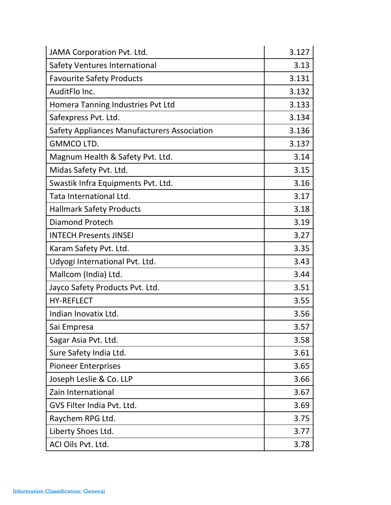| JAMA Corporation Pvt. Ltd.                         | 3.127 |
|----------------------------------------------------|-------|
| <b>Safety Ventures International</b>               | 3.13  |
| <b>Favourite Safety Products</b>                   | 3.131 |
| AuditFlo Inc.                                      | 3.132 |
| Homera Tanning Industries Pvt Ltd                  | 3.133 |
| Safexpress Pvt. Ltd.                               | 3.134 |
| <b>Safety Appliances Manufacturers Association</b> | 3.136 |
| <b>GMMCO LTD.</b>                                  | 3.137 |
| Magnum Health & Safety Pvt. Ltd.                   | 3.14  |
| Midas Safety Pvt. Ltd.                             | 3.15  |
| Swastik Infra Equipments Pvt. Ltd.                 | 3.16  |
| Tata International Ltd.                            | 3.17  |
| <b>Hallmark Safety Products</b>                    | 3.18  |
| <b>Diamond Protech</b>                             | 3.19  |
| <b>INTECH Presents JINSEI</b>                      | 3.27  |
| Karam Safety Pvt. Ltd.                             | 3.35  |
| Udyogi International Pvt. Ltd.                     | 3.43  |
| Mallcom (India) Ltd.                               | 3.44  |
| Jayco Safety Products Pvt. Ltd.                    | 3.51  |
| <b>HY-REFLECT</b>                                  | 3.55  |
| Indian Inovatix Ltd.                               | 3.56  |
| Sai Empresa                                        | 3.57  |
| Sagar Asia Pvt. Ltd.                               | 3.58  |
| Sure Safety India Ltd.                             | 3.61  |
| <b>Pioneer Enterprises</b>                         | 3.65  |
| Joseph Leslie & Co. LLP                            | 3.66  |
| Zain International                                 | 3.67  |
| GVS Filter India Pvt. Ltd.                         | 3.69  |
| Raychem RPG Ltd.                                   | 3.75  |
| Liberty Shoes Ltd.                                 | 3.77  |
| ACI Oils Pvt. Ltd.                                 | 3.78  |